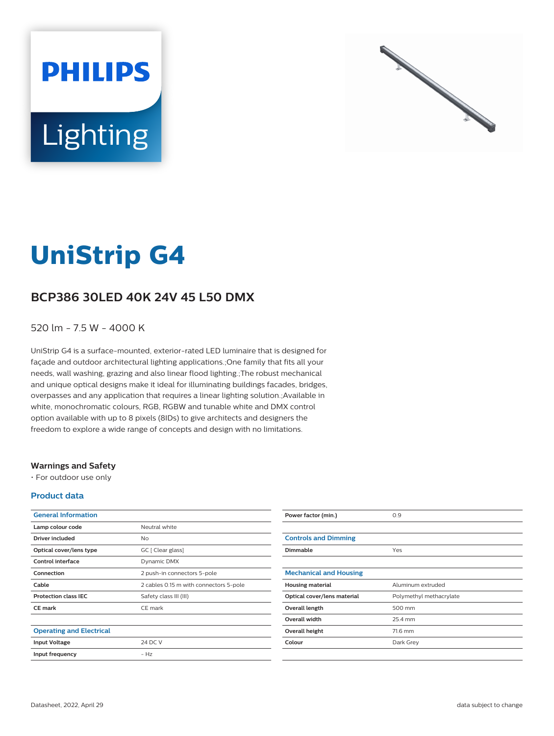



# **UniStrip G4**

## **BCP386 30LED 40K 24V 45 L50 DMX**

### 520 lm - 7.5 W - 4000 K

UniStrip G4 is a surface-mounted, exterior-rated LED luminaire that is designed for façade and outdoor architectural lighting applications.;One family that fits all your needs, wall washing, grazing and also linear flood lighting.;The robust mechanical and unique optical designs make it ideal for illuminating buildings facades, bridges, overpasses and any application that requires a linear lighting solution.;Available in white, monochromatic colours, RGB, RGBW and tunable white and DMX control option available with up to 8 pixels (8IDs) to give architects and designers the freedom to explore a wide range of concepts and design with no limitations.

#### **Warnings and Safety**

• For outdoor use only

#### **Product data**

| <b>General Information</b>      |                                        |
|---------------------------------|----------------------------------------|
| Lamp colour code                | Neutral white                          |
| Driver included                 | Nο                                     |
| Optical cover/lens type         | GC [ Clear glass]                      |
| Control interface               | Dynamic DMX                            |
| Connection                      | 2 push-in connectors 5-pole            |
| Cable                           | 2 cables 0.15 m with connectors 5-pole |
| <b>Protection class IEC</b>     | Safety class III (III)                 |
| <b>CE</b> mark                  | CE mark                                |
|                                 |                                        |
| <b>Operating and Electrical</b> |                                        |
| <b>Input Voltage</b>            | 24 DC V                                |
| Input frequency                 | $- H7$                                 |
|                                 |                                        |

| Power factor (min.)           | 0.9                     |
|-------------------------------|-------------------------|
|                               |                         |
| <b>Controls and Dimming</b>   |                         |
| Dimmable                      | Yes                     |
|                               |                         |
| <b>Mechanical and Housing</b> |                         |
| <b>Housing material</b>       | Aluminum extruded       |
| Optical cover/lens material   | Polymethyl methacrylate |
| Overall length                | 500 mm                  |
| <b>Overall width</b>          | 25.4 mm                 |
| Overall height                | 71.6 mm                 |
| Colour                        | Dark Grey               |
|                               |                         |